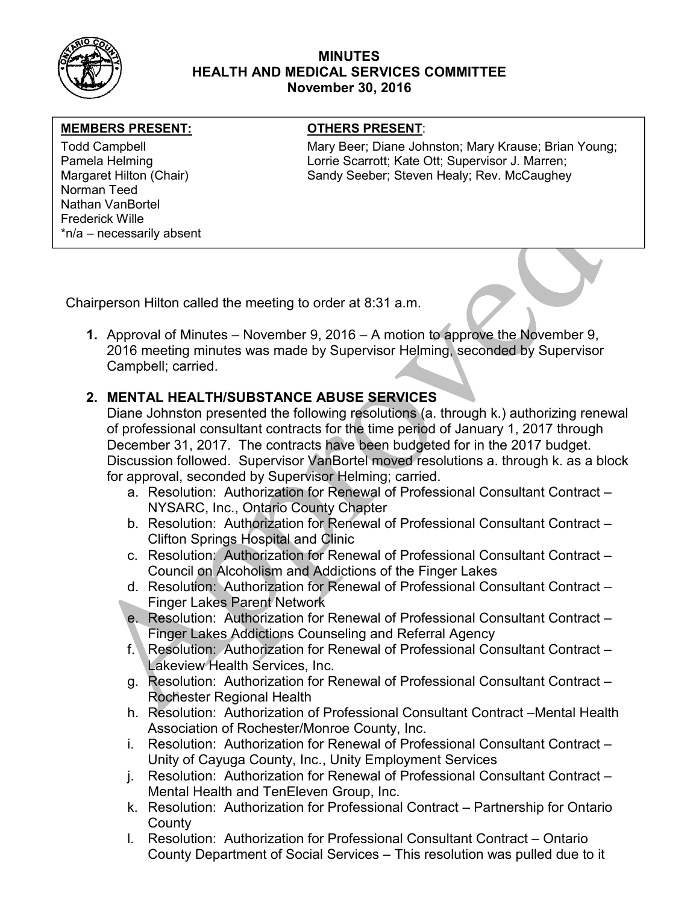

#### MINUTES HEALTH AND MEDICAL SERVICES COMMITTEE November 30, 2016

#### MEMBERS PRESENT: **The OTHERS PRESENT:**

Norman Teed Nathan VanBortel Frederick Wille \*n/a – necessarily absent

Todd Campbell **Mary Beer; Diane Johnston; Mary Krause**; Brian Young; Mary Krause; Brian Young; Pamela Helming **Lorrie Scarrott**; Kate Ott; Supervisor J. Marren; Margaret Hilton (Chair) Sandy Seeber; Steven Healy; Rev. McCaughey

Chairperson Hilton called the meeting to order at 8:31 a.m.

1. Approval of Minutes – November 9, 2016 – A motion to approve the November 9, 2016 meeting minutes was made by Supervisor Helming, seconded by Supervisor Campbell; carried.

# 2. MENTAL HEALTH/SUBSTANCE ABUSE SERVICES

Diane Johnston presented the following resolutions (a. through k.) authorizing renewal of professional consultant contracts for the time period of January 1, 2017 through December 31, 2017. The contracts have been budgeted for in the 2017 budget. Discussion followed. Supervisor VanBortel moved resolutions a. through k. as a block for approval, seconded by Supervisor Helming; carried.

- a. Resolution: Authorization for Renewal of Professional Consultant Contract NYSARC, Inc., Ontario County Chapter
- b. Resolution: Authorization for Renewal of Professional Consultant Contract Clifton Springs Hospital and Clinic
- c. Resolution: Authorization for Renewal of Professional Consultant Contract Council on Alcoholism and Addictions of the Finger Lakes
- d. Resolution: Authorization for Renewal of Professional Consultant Contract Finger Lakes Parent Network
- e. Resolution: Authorization for Renewal of Professional Consultant Contract Finger Lakes Addictions Counseling and Referral Agency
- f. Resolution: Authorization for Renewal of Professional Consultant Contract Lakeview Health Services, Inc.
- g. Resolution: Authorization for Renewal of Professional Consultant Contract Rochester Regional Health
- h. Resolution: Authorization of Professional Consultant Contract –Mental Health Association of Rochester/Monroe County, Inc.
- i. Resolution: Authorization for Renewal of Professional Consultant Contract Unity of Cayuga County, Inc., Unity Employment Services
- j. Resolution: Authorization for Renewal of Professional Consultant Contract Mental Health and TenEleven Group, Inc.
- k. Resolution: Authorization for Professional Contract Partnership for Ontario **County**
- l. Resolution: Authorization for Professional Consultant Contract Ontario County Department of Social Services – This resolution was pulled due to it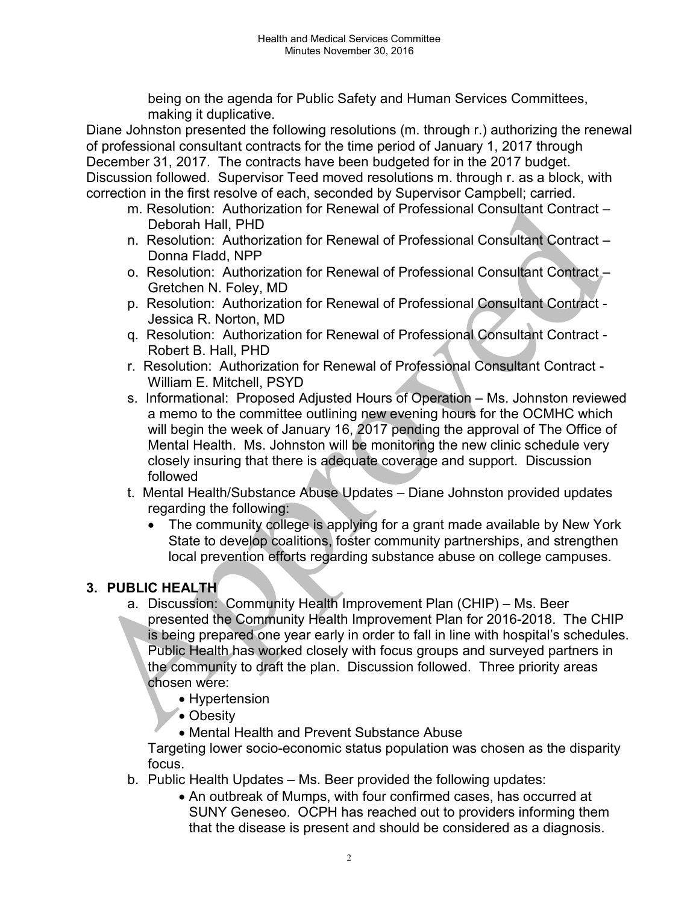being on the agenda for Public Safety and Human Services Committees, making it duplicative.

Diane Johnston presented the following resolutions (m. through r.) authorizing the renewal of professional consultant contracts for the time period of January 1, 2017 through December 31, 2017. The contracts have been budgeted for in the 2017 budget. Discussion followed. Supervisor Teed moved resolutions m. through r. as a block, with correction in the first resolve of each, seconded by Supervisor Campbell; carried.

- m. Resolution: Authorization for Renewal of Professional Consultant Contract Deborah Hall, PHD
- n. Resolution: Authorization for Renewal of Professional Consultant Contract Donna Fladd, NPP
- o. Resolution: Authorization for Renewal of Professional Consultant Contract Gretchen N. Foley, MD
- p. Resolution: Authorization for Renewal of Professional Consultant Contract Jessica R. Norton, MD
- q. Resolution: Authorization for Renewal of Professional Consultant Contract Robert B. Hall, PHD
- r. Resolution: Authorization for Renewal of Professional Consultant Contract William E. Mitchell, PSYD
- s. Informational: Proposed Adjusted Hours of Operation Ms. Johnston reviewed a memo to the committee outlining new evening hours for the OCMHC which will begin the week of January 16, 2017 pending the approval of The Office of Mental Health. Ms. Johnston will be monitoring the new clinic schedule very closely insuring that there is adequate coverage and support. Discussion followed
- t. Mental Health/Substance Abuse Updates Diane Johnston provided updates regarding the following:
	- The community college is applying for a grant made available by New York State to develop coalitions, foster community partnerships, and strengthen local prevention efforts regarding substance abuse on college campuses.

# 3. PUBLIC HEALTH

- a. Discussion: Community Health Improvement Plan (CHIP) Ms. Beer presented the Community Health Improvement Plan for 2016-2018. The CHIP is being prepared one year early in order to fall in line with hospital's schedules. Public Health has worked closely with focus groups and surveyed partners in the community to draft the plan. Discussion followed. Three priority areas chosen were:
	- Hypertension
	- Obesity
	- Mental Health and Prevent Substance Abuse

Targeting lower socio-economic status population was chosen as the disparity focus.

- b. Public Health Updates Ms. Beer provided the following updates:
	- An outbreak of Mumps, with four confirmed cases, has occurred at SUNY Geneseo. OCPH has reached out to providers informing them that the disease is present and should be considered as a diagnosis.